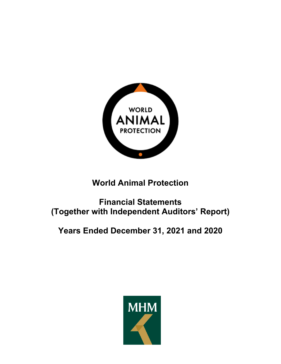

# **World Animal Protection**

# **Financial Statements (Together with Independent Auditors' Report)**

# **Years Ended December 31, 2021 and 2020**

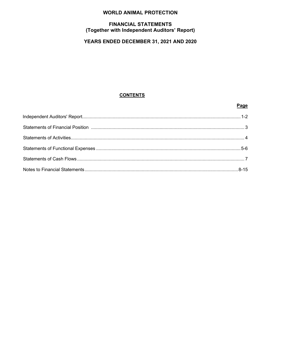# **WORLD ANIMAL PROTECTION**

# **FINANCIAL STATEMENTS** (Together with Independent Auditors' Report)

# YEARS ENDED DECEMBER 31, 2021 AND 2020

# **CONTENTS**

Page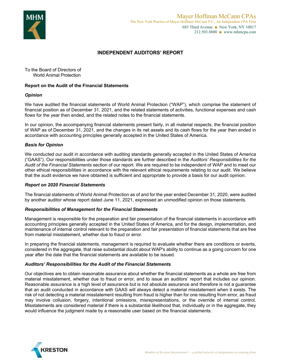

# **INDEPENDENT AUDITORS' REPORT**

To the Board of Directors of World Animal Protection

#### **Report on the Audit of the Financial Statements**

#### *Opinion*

We have audited the financial statements of World Animal Protection ("WAP"), which comprise the statement of financial position as of December 31, 2021, and the related statements of activities, functional expenses and cash flows for the year then ended, and the related notes to the financial statements.

In our opinion, the accompanying financial statements present fairly, in all material respects, the financial position of WAP as of December 31, 2021, and the changes in its net assets and its cash flows for the year then ended in accordance with accounting principles generally accepted in the United States of America.

#### *Basis for Opinion*

We conducted our audit in accordance with auditing standards generally accepted in the United States of America ("GAAS"). Our responsibilities under those standards are further described in the *Auditors' Responsibilities for the Audit of the Financial Statements* section of our report. We are required to be independent of WAP and to meet our other ethical responsibilities in accordance with the relevant ethical requirements relating to our audit. We believe that the audit evidence we have obtained is sufficient and appropriate to provide a basis for our audit opinion.

#### *Report on 2020 Financial Statements*

The financial statements of World Animal Protection as of and for the year ended December 31, 2020, were audited by another auditor whose report dated June 11, 2021, expressed an unmodified opinion on those statements.

#### *Responsibilities of Management for the Financial Statements*

Management is responsible for the preparation and fair presentation of the financial statements in accordance with accounting principles generally accepted in the United States of America, and for the design, implementation, and maintenance of internal control relevant to the preparation and fair presentation of financial statements that are free from material misstatement, whether due to fraud or error.

In preparing the financial statements, management is required to evaluate whether there are conditions or events, considered in the aggregate, that raise substantial doubt about WAP's ability to continue as a going concern for one year after the date that the financial statements are available to be issued.

#### *Auditors' Responsibilities for the Audit of the Financial Statements*

Our objectives are to obtain reasonable assurance about whether the financial statements as a whole are free from material misstatement, whether due to fraud or error, and to issue an auditors' report that includes our opinion. Reasonable assurance is a high level of assurance but is not absolute assurance and therefore is not a guarantee that an audit conducted in accordance with GAAS will always detect a material misstatement when it exists. The risk of not detecting a material misstatement resulting from fraud is higher than for one resulting from error, as fraud may involve collusion, forgery, intentional omissions, misrepresentations, or the override of internal control. Misstatements are considered material if there is a substantial likelihood that, individually or in the aggregate, they would influence the judgment made by a reasonable user based on the financial statements.

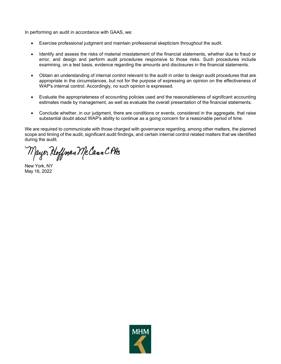In performing an audit in accordance with GAAS, we:

- Exercise professional judgment and maintain professional skepticism throughout the audit.
- Identify and assess the risks of material misstatement of the financial statements, whether due to fraud or error, and design and perform audit procedures responsive to those risks. Such procedures include examining, on a test basis, evidence regarding the amounts and disclosures in the financial statements.
- Obtain an understanding of internal control relevant to the audit in order to design audit procedures that are appropriate in the circumstances, but not for the purpose of expressing an opinion on the effectiveness of WAP's internal control. Accordingly, no such opinion is expressed.
- Evaluate the appropriateness of accounting policies used and the reasonableness of significant accounting estimates made by management, as well as evaluate the overall presentation of the financial statements.
- Conclude whether, in our judgment, there are conditions or events, considered in the aggregate, that raise substantial doubt about WAP's ability to continue as a going concern for a reasonable period of time.

We are required to communicate with those charged with governance regarding, among other matters, the planned scope and timing of the audit, significant audit findings, and certain internal control related matters that we identified during the audit.

Mayer Hoffman McCann CPAs

New York, NY May 16, 2022

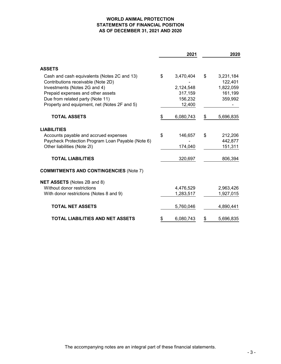# **WORLD ANIMAL PROTECTION STATEMENTS OF FINANCIAL POSITION AS OF DECEMBER 31, 2021 AND 2020**

|                                                   | 2021            | 2020            |
|---------------------------------------------------|-----------------|-----------------|
| <b>ASSETS</b>                                     |                 |                 |
| Cash and cash equivalents (Notes 2C and 13)       | \$<br>3,470,404 | \$<br>3,231,184 |
| Contributions receivable (Note 2D)                |                 | 122,401         |
| Investments (Notes 2G and 4)                      | 2,124,548       | 1,822,059       |
| Prepaid expenses and other assets                 | 317,159         | 161,199         |
| Due from related party (Note 11)                  | 156,232         | 359,992         |
| Property and equipment, net (Notes 2F and 5)      | 12,400          |                 |
| <b>TOTAL ASSETS</b>                               | \$<br>6,080,743 | \$<br>5,696,835 |
| <b>LIABILITIES</b>                                |                 |                 |
| Accounts payable and accrued expenses             | \$<br>146,657   | \$<br>212,206   |
| Paycheck Protection Program Loan Payable (Note 6) |                 | 442,877         |
| Other liabilities (Note 2I)                       | 174,040         | 151,311         |
| <b>TOTAL LIABILITIES</b>                          | 320,697         | 806,394         |
| <b>COMMITMENTS AND CONTINGENCIES (Note 7)</b>     |                 |                 |
| <b>NET ASSETS (Notes 2B and 8)</b>                |                 |                 |
| Without donor restrictions                        | 4,476,529       | 2,963,426       |
| With donor restrictions (Notes 8 and 9)           | 1,283,517       | 1,927,015       |
| <b>TOTAL NET ASSETS</b>                           | 5,760,046       | 4,890,441       |
| TOTAL LIABILITIES AND NET ASSETS                  | \$<br>6,080,743 | \$<br>5,696,835 |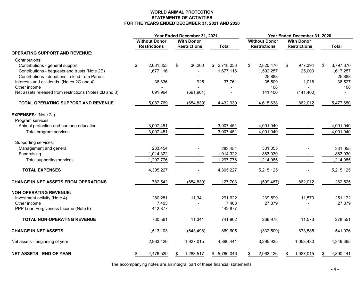#### **WORLD ANIMAL PROTECTION STATEMENTS OF ACTIVITIESFOR THE YEARS ENDED DECEMBER 31, 2021 AND 2020**

|                                                        | Year Ended December 31, 2021 |                      |    | Year Ended December 31, 2020 |              |                      |                     |                   |                     |    |              |
|--------------------------------------------------------|------------------------------|----------------------|----|------------------------------|--------------|----------------------|---------------------|-------------------|---------------------|----|--------------|
|                                                        |                              | <b>Without Donor</b> |    | <b>With Donor</b>            |              | <b>Without Donor</b> |                     | <b>With Donor</b> |                     |    |              |
|                                                        |                              | <b>Restrictions</b>  |    | <b>Restrictions</b>          | <b>Total</b> |                      | <b>Restrictions</b> |                   | <b>Restrictions</b> |    | <b>Total</b> |
| <b>OPERATING SUPPORT AND REVENUE:</b>                  |                              |                      |    |                              |              |                      |                     |                   |                     |    |              |
| Contributions:                                         |                              |                      |    |                              |              |                      |                     |                   |                     |    |              |
| Contributions - general support                        | \$                           | 2,681,853            | \$ | 36,200                       | \$2,718,053  | \$                   | 2,820,476           | \$                | 977,394             | \$ | 3,797,870    |
| Contributions - bequests and trusts (Note 2E)          |                              | 1,677,116            |    |                              | 1,677,116    |                      | 1,592,257           |                   | 25,000              |    | 1,617,257    |
| Contributions - donations in-kind from Parent          |                              |                      |    |                              |              |                      | 25,888              |                   |                     |    | 25,888       |
| Interests and dividends (Notes 2G and 4)               |                              | 36,836               |    | 925                          | 37,761       |                      | 35,509              |                   | 1,018               |    | 36,527       |
| Other income                                           |                              |                      |    |                              |              |                      | 108                 |                   |                     |    | 108          |
| Net assets released from restrictions (Notes 2B and 8) |                              | 691,964              |    | (691, 964)                   |              |                      | 141,400             |                   | (141, 400)          |    | $\sim$       |
| <b>TOTAL OPERATING SUPPORT AND REVENUE</b>             |                              | 5,087,769            |    | (654, 839)                   | 4,432,930    |                      | 4,615,638           |                   | 862,012             |    | 5,477,650    |
| <b>EXPENSES: (Note 2J)</b>                             |                              |                      |    |                              |              |                      |                     |                   |                     |    |              |
| Program services:                                      |                              |                      |    |                              |              |                      |                     |                   |                     |    |              |
| Animal protection and humane education                 |                              | 3,007,451            |    |                              | 3,007,451    |                      | 4,001,040           |                   |                     |    | 4,001,040    |
| Total program services                                 |                              | 3,007,451            |    |                              | 3,007,451    |                      | 4,001,040           |                   |                     |    | 4,001,040    |
| Supporting services:                                   |                              |                      |    |                              |              |                      |                     |                   |                     |    |              |
| Management and general                                 |                              | 283,454              |    |                              | 283,454      |                      | 331,055             |                   |                     |    | 331,055      |
| Fundraising                                            |                              | 1,014,322            |    |                              | 1,014,322    |                      | 883,030             |                   |                     |    | 883,030      |
| Total supporting services                              |                              | 1,297,776            |    | $\sim$                       | 1,297,776    |                      | 1,214,085           |                   |                     |    | 1,214,085    |
| <b>TOTAL EXPENSES</b>                                  |                              | 4,305,227            |    |                              | 4,305,227    |                      | 5,215,125           |                   |                     |    | 5,215,125    |
| <b>CHANGE IN NET ASSETS FROM OPERATIONS</b>            |                              | 782,542              |    | (654, 839)                   | 127,703      |                      | (599, 487)          |                   | 862,012             |    | 262,525      |
| <b>NON-OPERATING REVENUE:</b>                          |                              |                      |    |                              |              |                      |                     |                   |                     |    |              |
| Investment activity (Note 4)                           |                              | 280,281              |    | 11,341                       | 291,622      |                      | 239,599             |                   | 11,573              |    | 251,172      |
| Other income                                           |                              | 7,403                |    |                              | 7,403        |                      | 27,379              |                   | $\overline{a}$      |    | 27,379       |
| PPP Loan Forgiveness Income (Note 6)                   |                              | 442,877              |    |                              | 442,877      |                      |                     |                   |                     |    |              |
| <b>TOTAL NON-OPERATING REVENUE</b>                     |                              | 730,561              |    | 11,341                       | 741,902      |                      | 266,978             |                   | 11,573              |    | 278,551      |
| <b>CHANGE IN NET ASSETS</b>                            |                              | 1,513,103            |    | (643, 498)                   | 869,605      |                      | (332, 509)          |                   | 873,585             |    | 541,076      |
| Net assets - beginning of year                         |                              | 2,963,426            |    | 1,927,015                    | 4,890,441    |                      | 3,295,935           |                   | 1,053,430           |    | 4,349,365    |
| <b>NET ASSETS - END OF YEAR</b>                        | \$                           | 4,476,529            |    | 1,283,517                    | \$5,760,046  |                      | 2,963,426           | \$                | 1,927,015           | \$ | 4,890,441    |

The accompanying notes are an integral part of these financial statements.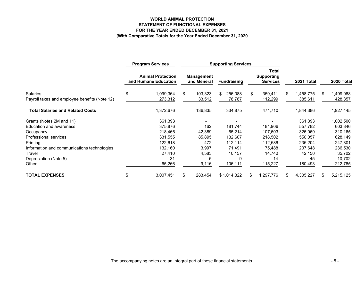# **WORLD ANIMAL PROTECTIONSTATEMENT OF FUNCTIONAL EXPENSESFOR THE YEAR ENDED DECEMBER 31, 2021 (With Comparative Totals for the Year Ended December 31, 2020**

|                                                                  | <b>Program Services</b>                          |    | <b>Supporting Services</b>       |                          |    |                                                      |    |                     |    |                      |
|------------------------------------------------------------------|--------------------------------------------------|----|----------------------------------|--------------------------|----|------------------------------------------------------|----|---------------------|----|----------------------|
|                                                                  | <b>Animal Protection</b><br>and Humane Education |    | <b>Management</b><br>and General | <b>Fundraising</b>       |    | <b>Total</b><br><b>Supporting</b><br><b>Services</b> |    | 2021 Total          |    | 2020 Total           |
| <b>Salaries</b><br>Payroll taxes and employee benefits (Note 12) | \$<br>1,099,364<br>273,312                       | \$ | 103,323<br>33,512                | 256,088<br>\$.<br>78,787 | \$ | 359,411<br>112,299                                   | \$ | 458,775,<br>385,611 | \$ | 1,499,088<br>428,357 |
| <b>Total Salaries and Related Costs</b>                          | 1,372,676                                        |    | 136,835                          | 334,875                  |    | 471,710                                              |    | 844,386,ا           |    | 1,927,445            |
| Grants (Notes 2M and 11)                                         | 361,393                                          |    |                                  |                          |    |                                                      |    | 361,393             |    | 1,002,500            |
| <b>Education and awareness</b>                                   | 375,876                                          |    | 162                              | 181,744                  |    | 181,906                                              |    | 557,782             |    | 603,846              |
| Occupancy                                                        | 218,466                                          |    | 42,389                           | 65,214                   |    | 107,603                                              |    | 326,069             |    | 310,165              |
| Professional services                                            | 331,555                                          |    | 85,895                           | 132,607                  |    | 218,502                                              |    | 550,057             |    | 628,149              |
| Printing                                                         | 122,618                                          |    | 472                              | 112,114                  |    | 112,586                                              |    | 235,204             |    | 247,301              |
| Information and communications technologies                      | 132,160                                          |    | 3,997                            | 71,491                   |    | 75,488                                               |    | 207,648             |    | 236,530              |
| Travel                                                           | 27,410                                           |    | 4,583                            | 10,157                   |    | 14,740                                               |    | 42,150              |    | 35,702               |
| Depreciation (Note 5)                                            | 31                                               |    | 5                                |                          |    | 14                                                   |    | 45                  |    | 10,702               |
| Other                                                            | 65,266                                           |    | 9,116                            | 106,111                  |    | 115,227                                              |    | 180,493             |    | 212,785              |
| <b>TOTAL EXPENSES</b>                                            | 3,007,451                                        | S. | 283,454                          | \$1,014,322              |    | 1,297,776                                            | S. | 4,305,227           | S. | 5,215,125            |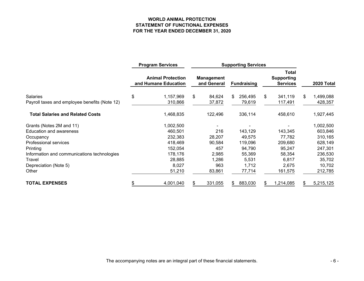# **WORLD ANIMAL PROTECTION STATEMENT OF FUNCTIONAL EXPENSES FOR THE YEAR ENDED DECEMBER 31, 2020**

|                                                                  | <b>Program Services</b> |                                                  | <b>Supporting Services</b>       |     |                    |    |                                               |     |                      |
|------------------------------------------------------------------|-------------------------|--------------------------------------------------|----------------------------------|-----|--------------------|----|-----------------------------------------------|-----|----------------------|
|                                                                  |                         | <b>Animal Protection</b><br>and Humane Education | <b>Management</b><br>and General |     | <b>Fundraising</b> |    | Total<br><b>Supporting</b><br><b>Services</b> |     | 2020 Total           |
| <b>Salaries</b><br>Payroll taxes and employee benefits (Note 12) | \$                      | 1,157,969<br>310,866                             | \$<br>84,624<br>37,872           | \$. | 256,495<br>79,619  | \$ | 341,119<br>117,491                            | \$  | 1,499,088<br>428,357 |
| <b>Total Salaries and Related Costs</b>                          |                         | 1,468,835                                        | 122,496                          |     | 336,114            |    | 458,610                                       |     | 1,927,445            |
| Grants (Notes 2M and 11)                                         |                         | 1,002,500                                        |                                  |     |                    |    |                                               |     | 1,002,500            |
| <b>Education and awareness</b>                                   |                         | 460,501                                          | 216                              |     | 143,129            |    | 143,345                                       |     | 603,846              |
| Occupancy                                                        |                         | 232,383                                          | 28,207                           |     | 49,575             |    | 77,782                                        |     | 310,165              |
| Professional services                                            |                         | 418,469                                          | 90,584                           |     | 119,096            |    | 209,680                                       |     | 628,149              |
| Printing                                                         |                         | 152,054                                          | 457                              |     | 94,790             |    | 95,247                                        |     | 247,301              |
| Information and communications technologies                      |                         | 178,176                                          | 2,985                            |     | 55,369             |    | 58,354                                        |     | 236,530              |
| Travel                                                           |                         | 28,885                                           | 1,286                            |     | 5,531              |    | 6,817                                         |     | 35,702               |
| Depreciation (Note 5)                                            |                         | 8,027                                            | 963                              |     | 1,712              |    | 2,675                                         |     | 10,702               |
| Other                                                            |                         | 51,210                                           | 83,861                           |     | 77,714             |    | 161,575                                       |     | 212,785              |
| <b>TOTAL EXPENSES</b>                                            |                         | 4,001,040                                        | 331,055                          | SS. | 883,030            |    | 1,214,085                                     | SS. | 5,215,125            |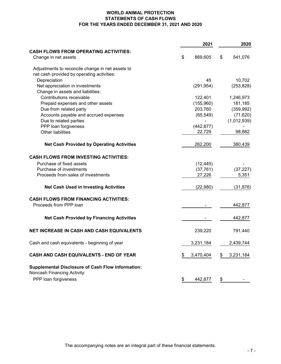# **WORLD ANIMAL PROTECTION STATEMENTS OF CASH FLOWS FOR THE YEARS ENDED DECEMBER 31, 2021 AND 2020**

|                                                                                         | 2021 |            | 2020 |             |  |
|-----------------------------------------------------------------------------------------|------|------------|------|-------------|--|
| <b>CASH FLOWS FROM OPERATING ACTIVITIES:</b>                                            |      |            |      |             |  |
| Change in net assets                                                                    | \$   | 869,605    | \$   | 541,076     |  |
| Adjustments to reconcile change in net assets to                                        |      |            |      |             |  |
| net cash provided by operating activities:                                              |      |            |      |             |  |
| Depreciation                                                                            |      | 45         |      | 10,702      |  |
| Net appreciation in investments                                                         |      | (291, 954) |      | (253, 828)  |  |
| Change in assets and liabilities:                                                       |      |            |      |             |  |
| Contributions receivable                                                                |      | 122,401    |      | 1,246,973   |  |
| Prepaid expenses and other assets                                                       |      | (155,960)  |      | 181,185     |  |
| Due from related party                                                                  |      | 203,760    |      | (359, 992)  |  |
| Accounts payable and accrued expenses                                                   |      | (65, 549)  |      | (71, 620)   |  |
| Due to related parties                                                                  |      |            |      | (1,012,939) |  |
| PPP loan forgiveness                                                                    |      | (442, 877) |      |             |  |
| <b>Other liabilities</b>                                                                |      | 22,729     |      | 98,882      |  |
| <b>Net Cash Provided by Operating Activities</b>                                        |      | 262,200    |      | 380,439     |  |
| <b>CASH FLOWS FROM INVESTING ACTIVITIES:</b>                                            |      |            |      |             |  |
| Purchase of fixed assets                                                                |      | (12, 445)  |      |             |  |
| Purchase of investments                                                                 |      | (37, 761)  |      | (37, 227)   |  |
| Proceeds from sales of investments                                                      |      | 27,226     |      | 5,351       |  |
| <b>Net Cash Used in Investing Activities</b>                                            |      | (22,980)   |      | (31, 876)   |  |
| <b>CASH FLOWS FROM FINANCING ACTIVITIES:</b>                                            |      |            |      |             |  |
| Proceeds from PPP loan                                                                  |      |            |      | 442,877     |  |
| <b>Net Cash Provided by Financing Activities</b>                                        |      |            |      | 442,877     |  |
| <b>NET INCREASE IN CASH AND CASH EQUIVALENTS</b>                                        |      | 239,220    |      | 791,440     |  |
| Cash and cash equivalents - beginning of year                                           |      | 3,231,184  |      | 2,439,744   |  |
| <b>CASH AND CASH EQUIVALENTS - END OF YEAR</b>                                          | \$   | 3,470,404  | \$   | 3,231,184   |  |
| <b>Supplemental Disclosure of Cash Flow Information:</b><br>Noncash Financing Activity: |      |            |      |             |  |
| PPP loan forgiveness                                                                    | \$   | 442,877    | \$   |             |  |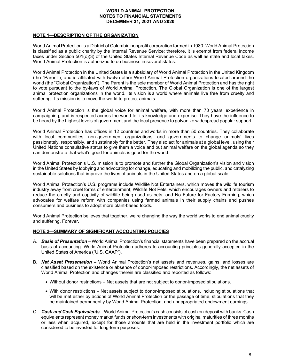# **NOTE 1—DESCRIPTION OF THE ORGANIZATION**

World Animal Protection is a District of Columbia nonprofit corporation formed in 1980. World Animal Protection is classified as a public charity by the Internal Revenue Service; therefore, it is exempt from federal income taxes under Section 501(c)(3) of the United States Internal Revenue Code as well as state and local taxes. World Animal Protection is authorized to do business in several states.

World Animal Protection in the United States is a subsidiary of World Animal Protection in the United Kingdom (the "Parent"), and is affiliated with twelve other World Animal Protection organizations located around the world (the "Global Organization"). The Parent is the sole member of World Animal Protection and has the right to vote pursuant to the by-laws of World Animal Protection. The Global Organization is one of the largest animal protection organizations in the world. Its vision is a world where animals live free from cruelty and suffering. Its mission is to move the world to protect animals.

World Animal Protection is the global voice for animal welfare, with more than 70 years' experience in campaigning, and is respected across the world for its knowledge and expertise. They have the influence to be heard by the highest levels of government and the local presence to galvanize widespread popular support.

World Animal Protection has offices in 12 countries and works in more than 50 countries. They collaborate with local communities, non-government organizations, and governments to change animals' lives passionately, responsibly, and sustainably for the better. They also act for animals at a global level, using their United Nations consultative status to give them a voice and put animal welfare on the global agenda so they can demonstrate that what's good for animals is good for the world.

World Animal Protection's U.S. mission is to promote and further the Global Organization's vision and vision in the United States by lobbying and advocating for change, educating and mobilizing the public, and catalyzing sustainable solutions that improve the lives of animals in the United States and on a global scale.

World Animal Protection's U.S. programs include Wildlife Not Entertainers, which moves the wildlife tourism industry away from cruel forms of entertainment; Wildlife Not Pets, which encourages owners and retailers to reduce the cruelty and captivity of wildlife being used as pets; and No Future for Factory Farming, which advocates for welfare reform with companies using farmed animals in their supply chains and pushes consumers and business to adopt more plant-based foods.

World Animal Protection believes that together, we're changing the way the world works to end animal cruelty and suffering. Forever.

# **NOTE 2—SUMMARY OF SIGNIFICANT ACCOUNTING POLICIES**

- A. *Basis of Presentation* World Animal Protection's financial statements have been prepared on the accrual basis of accounting. World Animal Protection adheres to accounting principles generally accepted in the United States of America ("U.S. GAAP").
- B. *Net Asset Presentation* World Animal Protection's net assets and revenues, gains, and losses are classified based on the existence or absence of donor-imposed restrictions. Accordingly, the net assets of World Animal Protection and changes therein are classified and reported as follows:
	- Without donor restrictions Net assets that are not subject to donor-imposed stipulations.
	- With donor restrictions Net assets subject to donor-imposed stipulations, including stipulations that will be met either by actions of World Animal Protection or the passage of time, stipulations that they be maintained permanently by World Animal Protection, and unappropriated endowment earnings.
- C. *Cash and Cash Equivalents* World Animal Protection's cash consists of cash on deposit with banks. Cash equivalents represent money market funds or short-term investments with original maturities of three months or less when acquired, except for those amounts that are held in the investment portfolio which are considered to be invested for long-term purposes.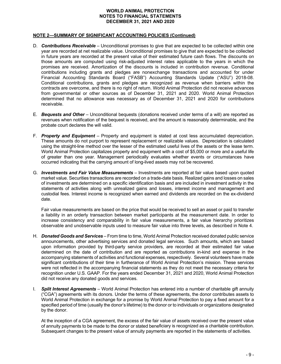## **NOTE 2—SUMMARY OF SIGNIFICANT ACCOUNTING POLICIES (Continued)**

- D. *Contributions Receivable*  Unconditional promises to give that are expected to be collected within one year are recorded at net realizable value. Unconditional promises to give that are expected to be collected in future years are recorded at the present value of their estimated future cash flows. The discounts on those amounts are computed using risk-adjusted interest rates applicable to the years in which the promises are received. Amortization of the discounts is included in contribution revenue. Conditional contributions including grants and pledges are nonexchange transactions and accounted for under Financial Accounting Standards Board ("FASB") Accounting Standards Update ("ASU") 2018-08. Conditional contributions, grants and pledges are recognized as revenue when barriers within the contracts are overcome, and there is no right of return. World Animal Protection did not receive advances from governmental or other sources as of December 31, 2021 and 2020. World Animal Protection determined that no allowance was necessary as of December 31, 2021 and 2020 for contributions receivable.
- E. *Bequests and Other*  Unconditional bequests (donations received under terms of a will) are reported as revenues when notification of the bequest is received, and the amount is reasonably determinable, and the probate court declares the will valid.
- F. *Property and Equipment* Property and equipment is stated at cost less accumulated depreciation. These amounts do not purport to represent replacement or realizable values. Depreciation is calculated using the straight-line method over the lesser of the estimated useful lives of the assets or the lease term. World Animal Protection capitalizes property and equipment with a cost of \$5,000 or more and a useful life of greater than one year. Management periodically evaluates whether events or circumstances have occurred indicating that the carrying amount of long-lived assets may not be recovered.
- G. *Investments and Fair Value Measurements* Investments are reported at fair value based upon quoted market value. Securities transactions are recorded on a trade-date basis. Realized gains and losses on sales of investments are determined on a specific identification basis and are included in investment activity in the statements of activities along with unrealized gains and losses, interest income and management and custodial fees. Interest income is recognized when earned and dividends are recorded on the ex-dividend date.

Fair value measurements are based on the price that would be received to sell an asset or paid to transfer a liability in an orderly transaction between market participants at the measurement date. In order to increase consistency and comparability in fair value measurements, a fair value hierarchy prioritizes observable and unobservable inputs used to measure fair value into three levels, as described in Note 4.

- H. *Donated Goods and Services* From time to time, World Animal Protection received donated public service announcements, other advertising services and donated legal services. Such amounts, which are based upon information provided by third-party service providers, are recorded at their estimated fair value determined on the date of contribution and are reported as contributions in-kind and expense in the accompanying statements of activities and functional expenses, respectively. Several volunteers have made significant contributions of their time in furtherance of World Animal Protection's mission. These services were not reflected in the accompanying financial statements as they do not meet the necessary criteria for recognition under U.S. GAAP. For the years ended December 31, 2021 and 2020, World Animal Protection did not receive any donated goods and services.
- I. *Split Interest Agreements* World Animal Protection has entered into a number of charitable gift annuity ("CGA") agreements with its donors. Under the terms of these agreements, the donor contributes assets to World Animal Protection in exchange for a promise by World Animal Protection to pay a fixed amount for a specified period of time (usually the donor's lifetime) to the donor or to individuals or organizations designated by the donor.

At the inception of a CGA agreement, the excess of the fair value of assets received over the present value of annuity payments to be made to the donor or stated beneficiary is recognized as a charitable contribution. Subsequent changes to the present value of annuity payments are reported in the statements of activities.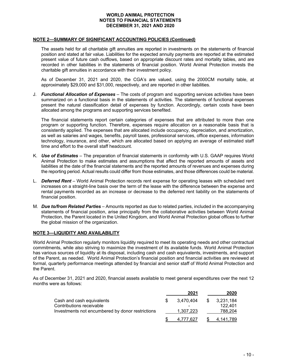## **NOTE 2—SUMMARY OF SIGNIFICANT ACCOUNTING POLICIES (Continued)**

The assets held for all charitable gift annuities are reported in investments on the statements of financial position and stated at fair value. Liabilities for the expected annuity payments are reported at the estimated present value of future cash outflows, based on appropriate discount rates and mortality tables, and are recorded in other liabilities in the statements of financial position. World Animal Protection invests the charitable gift annuities in accordance with their investment policy.

As of December 31, 2021 and 2020, the CGA's are valued, using the 2000CM mortality table, at approximately \$29,000 and \$31,000, respectively, and are reported in other liabilities.

J. *Functional Allocation of Expenses* – The costs of program and supporting services activities have been summarized on a functional basis in the statements of activities. The statements of functional expenses present the natural classification detail of expenses by function. Accordingly, certain costs have been allocated among the programs and supporting services benefited.

The financial statements report certain categories of expenses that are attributed to more than one program or supporting function. Therefore, expenses require allocation on a reasonable basis that is consistently applied. The expenses that are allocated include occupancy, depreciation, and amortization, as well as salaries and wages, benefits, payroll taxes, professional services, office expenses, information technology, insurance, and other, which are allocated based on applying an average of estimated staff time and effort to the overall staff headcount.

- K. *Use of Estimates* The preparation of financial statements in conformity with U.S. GAAP requires World Animal Protection to make estimates and assumptions that affect the reported amounts of assets and liabilities at the date of the financial statements and the reported amounts of revenues and expenses during the reporting period. Actual results could differ from those estimates, and those differences could be material.
- L. *Deferred Rent*  World Animal Protection records rent expense for operating leases with scheduled rent increases on a straight-line basis over the term of the lease with the difference between the expense and rental payments recorded as an increase or decrease to the deferred rent liability on the statements of financial position.
- M. *Due to/from Related Parties* Amounts reported as due to related parties, included in the accompanying statements of financial position, arise principally from the collaborative activities between World Animal Protection, the Parent located in the United Kingdom, and World Animal Protection global offices to further the global mission of the organization.

# **NOTE 3—LIQUIDITY AND AVAILABILITY**

World Animal Protection regularly monitors liquidity required to meet its operating needs and other contractual commitments, while also striving to maximize the investment of its available funds. World Animal Protection has various sources of liquidity at its disposal, including cash and cash equivalents, investments, and support of the Parent, as needed. World Animal Protection's financial position and financial activities are reviewed at formal, quarterly performance meetings attended by financial and senior staff of World Animal Protection and the Parent.

As of December 31, 2021 and 2020, financial assets available to meet general expenditures over the next 12 months were as follows:

|                                                  | 2021      |    | 2020      |
|--------------------------------------------------|-----------|----|-----------|
| Cash and cash equivalents                        | 3.470.404 | S. | 3.231.184 |
| Contributions receivable                         |           |    | 122.401   |
| Investments not encumbered by donor restrictions | 1,307,223 |    | 788.204   |
|                                                  | 4.777.627 |    | 4.141.789 |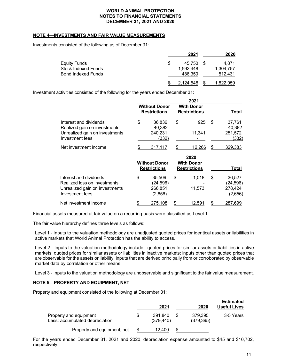## **NOTE 4—INVESTMENTS AND FAIR VALUE MEASUREMENTS**

Investments consisted of the following as of December 31:

|                                                   | 2021                      | 2020               |
|---------------------------------------------------|---------------------------|--------------------|
| <b>Equity Funds</b><br><b>Stock Indexed Funds</b> | \$<br>45.750<br>1.592.448 | 4.871<br>1,304,757 |
| <b>Bond Indexed Funds</b>                         | 486,350                   | 512,431            |
|                                                   | 2.124.548                 | 1.822.059          |

Investment activities consisted of the following for the years ended December 31:

|                                                                                                             |                                                 |     | 2021                                     |                                                 |
|-------------------------------------------------------------------------------------------------------------|-------------------------------------------------|-----|------------------------------------------|-------------------------------------------------|
|                                                                                                             | <b>Without Donor</b><br><b>Restrictions</b>     |     | <b>With Donor</b><br><b>Restrictions</b> | Total                                           |
| Interest and dividends<br>Realized gain on investments<br>Unrealized gain on investments<br>Investment fees | \$<br>36,836<br>40,382<br>240,231<br>(332)      | \$  | 925<br>11,341                            | \$<br>37,761<br>40,382<br>251,572<br>(332)      |
| Net investment income                                                                                       | \$<br>317,117                                   | \$. | 12,266                                   | \$<br>329,383                                   |
|                                                                                                             |                                                 |     | 2020                                     |                                                 |
|                                                                                                             | <b>Without Donor</b><br><b>Restrictions</b>     |     | <b>With Donor</b><br><b>Restrictions</b> | Total                                           |
|                                                                                                             |                                                 |     |                                          |                                                 |
| Interest and dividends<br>Realized loss on investments<br>Unrealized gain on investments<br>Investment fees | \$<br>35,509<br>(24, 596)<br>266,851<br>(2,656) | \$  | 1,018<br>11,573                          | \$<br>36,527<br>(24, 596)<br>278,424<br>(2,656) |

Financial assets measured at fair value on a recurring basis were classified as Level 1.

The fair value hierarchy defines three levels as follows:

Level 1 - Inputs to the valuation methodology are unadjusted quoted prices for identical assets or liabilities in active markets that World Animal Protection has the ability to access.

Level 2 - Inputs to the valuation methodology include: quoted prices for similar assets or liabilities in active markets; quoted prices for similar assets or liabilities in inactive markets; inputs other than quoted prices that are observable for the assets or liability; inputs that are derived principally from or corroborated by observable market data by correlation or other means.

Level 3 - Inputs to the valuation methodology are unobservable and significant to the fair value measurement.

# **NOTE 5—PROPERTY AND EQUIPMENT, NET**

Property and equipment consisted of the following at December 31:

|                                                          | 2021                  | 2020                  | <b>Estimated</b><br><b>Useful Lives</b> |
|----------------------------------------------------------|-----------------------|-----------------------|-----------------------------------------|
| Property and equipment<br>Less: accumulated depreciation | 391.840<br>(379, 440) | 379.395<br>(379, 395) | 3-5 Years                               |
| Property and equipment, net                              | 12.400                | -                     |                                         |

For the years ended December 31, 2021 and 2020, depreciation expense amounted to \$45 and \$10,702, respectively.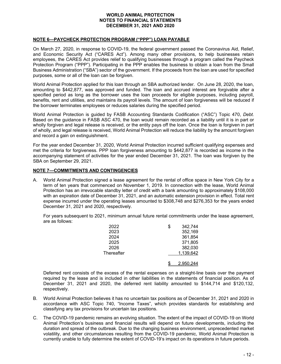## **NOTE 6—PAYCHECK PROTECTION PROGRAM ("PPP") LOAN PAYABLE**

On March 27, 2020, in response to COVID-19, the federal government passed the Coronavirus Aid, Relief, and Economic Security Act ("CARES Act"). Among many other provisions, to help businesses retain employees, the CARES Act provides relief to qualifying businesses through a program called the Paycheck Protection Program ("PPP"). Participating in the PPP enables the business to obtain a loan from the Small Business Administration ("SBA") sector of the government. If the proceeds from the loan are used for specified purposes, some or all of the loan can be forgiven.

World Animal Protection applied for this loan through an SBA authorized lender. On June 28, 2020, the loan, amounting to \$442,877, was approved and funded. The loan and accrued interest are forgivable after a specified period as long as the borrower uses the loan proceeds for eligible purposes, including payroll, benefits, rent and utilities, and maintains its payroll levels. The amount of loan forgiveness will be reduced if the borrower terminates employees or reduces salaries during the specified period.

World Animal Protection is guided by FASB Accounting Standards Codification ("ASC") Topic 470, *Debt.*  Based on the guidance in FASB ASC 470, the loan would remain recorded as a liability until it is in part or wholly forgiven and legal release is received, or the entity pays off the loan. Once the loan is forgiven in part of wholly, and legal release is received, World Animal Protection will reduce the liability by the amount forgiven and record a gain on extinguishment.

For the year ended December 31, 2020, World Animal Protection incurred sufficient qualifying expenses and met the criteria for forgiveness. PPP loan forgiveness amounting to \$442,877 is recorded as income in the accompanying statement of activities for the year ended December 31, 2021. The loan was forgiven by the SBA on September 29, 2021.

## **NOTE 7—COMMITMENTS AND CONTINGENCIES**

A. World Animal Protection signed a lease agreement for the rental of office space in New York City for a term of ten years that commenced on November 1, 2019. In connection with the lease, World Animal Protection has an irrevocable standby letter of credit with a bank amounting to approximately \$108,000 with an expiration date of December 31, 2021, and an automatic extension provision in effect. Total rent expense incurred under the operating leases amounted to \$308,748 and \$276,353 for the years ended December 31, 2021 and 2020, respectively.

For years subsequent to 2021, minimum annual future rental commitments under the lease agreement, are as follows:

| 2022       | 342,744   |
|------------|-----------|
| 2023       | 352,169   |
| 2024       | 361,854   |
| 2025       | 371,805   |
| 2026       | 382,030   |
| Thereafter | 1,139,642 |
|            | 2.950.244 |

Deferred rent consists of the excess of the rental expenses on a straight-line basis over the payment required by the lease and is included in other liabilities in the statements of financial position. As of December 31, 2021 and 2020, the deferred rent liability amounted to \$144,714 and \$120,132, respectively.

- B. World Animal Protection believes it has no uncertain tax positions as of December 31, 2021 and 2020 in accordance with ASC Topic 740, "Income Taxes", which provides standards for establishing and classifying any tax provisions for uncertain tax positions.
- C. The COVID-19 pandemic remains an evolving situation. The extent of the impact of COVID-19 on World Animal Protection's business and financial results will depend on future developments, including the duration and spread of the outbreak. Due to the changing business environment, unprecedented market volatility, and other circumstances resulting from the COVID-19 pandemic, World Animal Protection is currently unable to fully determine the extent of COVID-19's impact on its operations in future periods.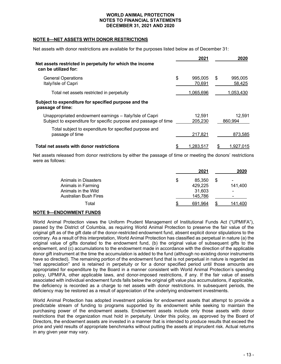# **NOTE 8—NET ASSETS WITH DONOR RESTRICTIONS**

Net assets with donor restrictions are available for the purposes listed below as of December 31:

|                                                                                                                            | 2021                    |     | 2020              |
|----------------------------------------------------------------------------------------------------------------------------|-------------------------|-----|-------------------|
| Net assets restricted in perpetuity for which the income<br>can be utilized for:                                           |                         |     |                   |
| <b>General Operations</b><br>Italy/Isle of Capri                                                                           | \$<br>995.005<br>70,691 | \$. | 995.005<br>58,425 |
| Total net assets restricted in perpetuity                                                                                  | 1,065,696               |     | 1,053,430         |
| Subject to expenditure for specified purpose and the<br>passage of time:                                                   |                         |     |                   |
| Unappropriated endowment earnings – Italy/Isle of Capri<br>Subject to expenditure for specific purpose and passage of time | 12.591<br>205.230       |     | 12,591<br>860.994 |
| Total subject to expenditure for specified purpose and<br>passage of time                                                  | 217,821                 |     | 873,585           |
| Total net assets with donor restrictions                                                                                   | 1.283.517               |     | 1.927.015         |

Net assets released from donor restrictions by either the passage of time or meeting the donors' restrictions were as follows:

|                       | 2021          |   | 2020                     |
|-----------------------|---------------|---|--------------------------|
| Animals in Disasters  | \$<br>85,350  | S | $\overline{\phantom{a}}$ |
| Animals in Farming    | 429,225       |   | 141,400                  |
| Animals in the Wild   | 31,603        |   | $\overline{\phantom{0}}$ |
| Australian Bush Fires | 145,786       |   | $\overline{\phantom{0}}$ |
| Total                 | \$<br>691.964 |   | 141.400                  |

#### **NOTE 9—ENDOWMENT FUNDS**

World Animal Protection views the Uniform Prudent Management of Institutional Funds Act ("UPMIFA"), passed by the District of Columbia, as requiring World Animal Protection to preserve the fair value of the original gift as of the gift date of the donor-restricted endowment fund, absent explicit donor stipulations to the contrary. As a result of this interpretation, World Animal Protection has classified as perpetual in nature (a) the original value of gifts donated to the endowment fund, (b) the original value of subsequent gifts to the endowment, and (c) accumulations to the endowment made in accordance with the direction of the applicable donor gift instrument at the time the accumulation is added to the fund (although no existing donor instruments have so directed). The remaining portion of the endowment fund that is not perpetual in nature is regarded as "net appreciation" and is retained in perpetuity or for a donor specified period until those amounts are appropriated for expenditure by the Board in a manner consistent with World Animal Protection's spending policy, UPMIFA, other applicable laws, and donor-imposed restrictions, if any. If the fair value of assets associated with individual endowment funds falls below the original gift value plus accumulations, if applicable, the deficiency is recorded as a charge to net assets with donor restrictions. In subsequent periods, the deficiency may be restored as a result of appreciation of the underlying endowment investments.

World Animal Protection has adopted investment policies for endowment assets that attempt to provide a predictable stream of funding to programs supported by its endowment while seeking to maintain the purchasing power of the endowment assets. Endowment assets include only those assets with donor restrictions that the organization must hold in perpetuity. Under this policy, as approved by the Board of Directors, the endowment assets are invested in a manner that is intended to produce results that exceed the price and yield results of appropriate benchmarks without putting the assets at imprudent risk. Actual returns in any given year may vary.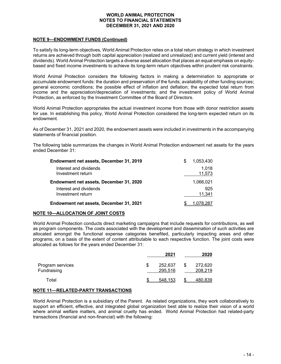# **NOTE 9—ENDOWMENT FUNDS (Continued)**

To satisfy its long-term objectives, World Animal Protection relies on a total return strategy in which investment returns are achieved through both capital appreciation (realized and unrealized) and current yield (interest and dividends). World Animal Protection targets a diverse asset allocation that places an equal emphasis on equitybased and fixed income investments to achieve its long-term return objectives within prudent risk constraints.

World Animal Protection considers the following factors in making a determination to appropriate or accumulate endowment funds: the duration and preservation of the funds; availability of other funding sources; general economic conditions; the possible effect of inflation and deflation; the expected total return from income and the appreciation/depreciation of investments; and the investment policy of World Animal Protection, as enforced by the Investment Committee of the Board of Directors.

World Animal Protection appropriates the actual investment income from those with donor restriction assets for use. In establishing this policy, World Animal Protection considered the long-term expected return on its endowment.

As of December 31, 2021 and 2020, the endowment assets were included in investments in the accompanying statements of financial position.

The following table summarizes the changes in World Animal Protection endowment net assets for the years ended December 31:

| Endowment net assets, December 31, 2019     | S | 1.053.430       |
|---------------------------------------------|---|-----------------|
| Interest and dividends<br>Investment return |   | 1.018<br>11.573 |
| Endowment net assets, December 31, 2020     |   | 1.066.021       |
| Interest and dividends                      |   | 925             |
| Investment return                           |   | 11.341          |
| Endowment net assets, December 31, 2021     |   |                 |

# **NOTE 10—ALLOCATION OF JOINT COSTS**

World Animal Protection conducts direct marketing campaigns that include requests for contributions, as well as program components. The costs associated with the development and dissemination of such activities are allocated amongst the functional expense categories benefited, particularly impacting areas and other programs, on a basis of the extent of content attributable to each respective function. The joint costs were allocated as follows for the years ended December 31:

|                                 | 2021                     | 2020               |
|---------------------------------|--------------------------|--------------------|
| Program services<br>Fundraising | \$<br>252,637<br>295,516 | 272,620<br>208,219 |
| Total                           | 548.153                  | <u>480,839</u>     |

#### **NOTE 11—RELATED-PARTY TRANSACTIONS**

World Animal Protection is a subsidiary of the Parent. As related organizations, they work collaboratively to support an efficient, effective, and integrated global organization best able to realize their vision of a world where animal welfare matters, and animal cruelty has ended. World Animal Protection had related-party transactions (financial and non-financial) with the following: